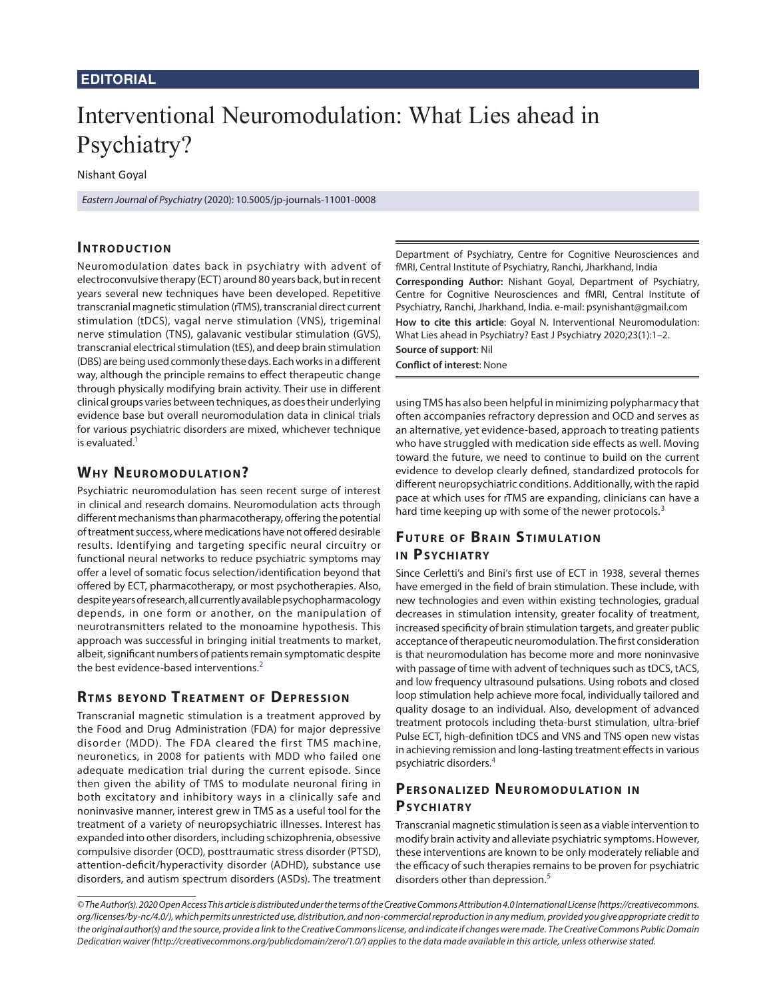#### **Editorial**

# Interventional Neuromodulation: What Lies ahead in Psychiatry?

Nishant Goyal

*Eastern Journal of Psychiatry* (2020): 10.5005/jp-journals-11001-0008

### **INTRODUCTION**

Neuromodulation dates back in psychiatry with advent of electroconvulsive therapy (ECT) around 80 years back, but in recent years several new techniques have been developed. Repetitive transcranial magnetic stimulation (rTMS), transcranial direct current stimulation (tDCS), vagal nerve stimulation (VNS), trigeminal nerve stimulation (TNS), galavanic vestibular stimulation (GVS), transcranial electrical stimulation (tES), and deep brain stimulation (DBS) are being used commonly these days. Each works in a different way, although the principle remains to effect therapeutic change through physically modifying brain activity. Their use in different clinical groups varies between techniques, as does their underlying evidence base but overall neuromodulation data in clinical trials for various psychiatric disorders are mixed, whichever technique is evaluated. $1$ 

#### <span id="page-0-0"></span>**WHY NEUROMODULATION?**

Psychiatric neuromodulation has seen recent surge of interest in clinical and research domains. Neuromodulation acts through different mechanisms than pharmacotherapy, offering the potential of treatment success, where medications have not offered desirable results. Identifying and targeting specific neural circuitry or functional neural networks to reduce psychiatric symptoms may offer a level of somatic focus selection/identification beyond that offered by ECT, pharmacotherapy, or most psychotherapies. Also, despite years of research, all currently available psychopharmacology depends, in one form or another, on the manipulation of neurotransmitters related to the monoamine hypothesis. This approach was successful in bringing initial treatments to market, albeit, significant numbers of patients remain symptomatic despite the best evidence-based interventions.<sup>[2](#page-1-4)</sup>

#### **RTMS BEYOND TREATMENT OF DEPRESSION**

Transcranial magnetic stimulation is a treatment approved by the Food and Drug Administration (FDA) for major depressive disorder (MDD). The FDA cleared the first TMS machine, neuronetics, in 2008 for patients with MDD who failed one adequate medication trial during the current episode. Since then given the ability of TMS to modulate neuronal firing in both excitatory and inhibitory ways in a clinically safe and noninvasive manner, interest grew in TMS as a useful tool for the treatment of a variety of neuropsychiatric illnesses. Interest has expanded into other disorders, including schizophrenia, obsessive compulsive disorder (OCD), posttraumatic stress disorder (PTSD), attention-deficit/hyperactivity disorder (ADHD), substance use disorders, and autism spectrum disorders (ASDs). The treatment

Department of Psychiatry, Centre for Cognitive Neurosciences and fMRI, Central Institute of Psychiatry, Ranchi, Jharkhand, India

**Corresponding Author:** Nishant Goyal, Department of Psychiatry, Centre for Cognitive Neurosciences and fMRI, Central Institute of Psychiatry, Ranchi, Jharkhand, India. e-mail: psynishant@gmail.com **How to cite this article**: Goyal N. Interventional Neuromodulation: What Lies ahead in Psychiatry? East J Psychiatry 2020;23(1):1–2. **Source of support**: Nil

**Conflict of interest**: None

using TMS has also been helpful in minimizing polypharmacy that often accompanies refractory depression and OCD and serves as an alternative, yet evidence-based, approach to treating patients who have struggled with medication side effects as well. Moving toward the future, we need to continue to build on the current evidence to develop clearly defined, standardized protocols for different neuropsychiatric conditions. Additionally, with the rapid pace at which uses for rTMS are expanding, clinicians can have a hard time keeping up with some of the newer protocols.<sup>[3](#page-1-0)</sup>

## <span id="page-0-2"></span>**FUTURE OF BRAIN STIMULATION IN PSYCHIATRY**

<span id="page-0-1"></span>Since Cerletti's and Bini's first use of ECT in 1938, several themes have emerged in the field of brain stimulation. These include, with new technologies and even within existing technologies, gradual decreases in stimulation intensity, greater focality of treatment, increased specificity of brain stimulation targets, and greater public acceptance of therapeutic neuromodulation. The first consideration is that neuromodulation has become more and more noninvasive with passage of time with advent of techniques such as tDCS, tACS, and low frequency ultrasound pulsations. Using robots and closed loop stimulation help achieve more focal, individually tailored and quality dosage to an individual. Also, development of advanced treatment protocols including theta-burst stimulation, ultra-brief Pulse ECT, high-definition tDCS and VNS and TNS open new vistas in achieving remission and long-lasting treatment effects in various psychiatric disorders[.4](#page-1-1)

## <span id="page-0-3"></span>**PERSONALIZED NEUROMODULATION IN PSYCHIATRY**

<span id="page-0-4"></span>Transcranial magnetic stimulation is seen as a viable intervention to modify brain activity and alleviate psychiatric symptoms. However, these interventions are known to be only moderately reliable and the efficacy of such therapies remains to be proven for psychiatric disorders other than depression.<sup>[5](#page-1-2)</sup>

*<sup>©</sup> The Author(s). 2020 Open Access This article is distributed under the terms of the Creative Commons Attribution 4.0 International License (https://creativecommons. org/licenses/by-nc/4.0/), which permits unrestricted use, distribution, and non-commercial reproduction in any medium, provided you give appropriate credit to the original author(s) and the source, provide a link to the Creative Commons license, and indicate if changes were made. The Creative Commons Public Domain Dedication waiver (http://creativecommons.org/publicdomain/zero/1.0/) applies to the data made available in this article, unless otherwise stated.*